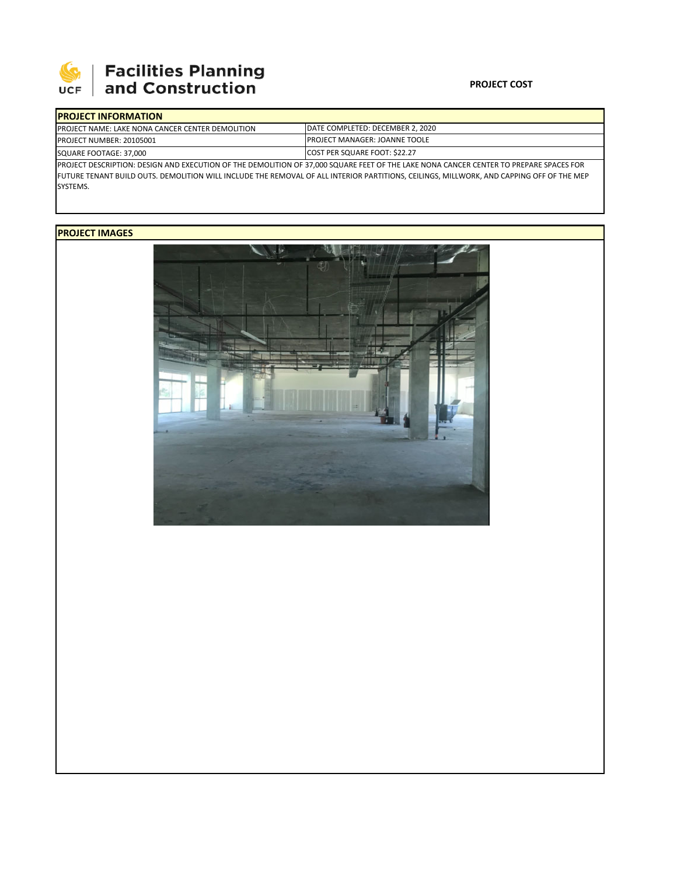

# **Facilities Planning**<br>and Construction

### **PROJECT COST**

| <b>IPROJECT INFORMATION</b>                                                                                                            |                                                                                                                                      |  |  |  |
|----------------------------------------------------------------------------------------------------------------------------------------|--------------------------------------------------------------------------------------------------------------------------------------|--|--|--|
| <b>IPROJECT NAME: LAKE NONA CANCER CENTER DEMOLITION</b>                                                                               | DATE COMPLETED: DECEMBER 2, 2020                                                                                                     |  |  |  |
| PROJECT NUMBER: 20105001                                                                                                               | <b>IPROJECT MANAGER: JOANNE TOOLE</b>                                                                                                |  |  |  |
| SQUARE FOOTAGE: 37,000                                                                                                                 | <b>COST PER SQUARE FOOT: \$22.27</b>                                                                                                 |  |  |  |
| PROJECT DESCRIPTION: DESIGN AND EXECUTION OF THE DEMOLITION OF 37,000 SQUARE FEET OF THE LAKE NONA CANCER CENTER TO PREPARE SPACES FOR |                                                                                                                                      |  |  |  |
|                                                                                                                                        | FUTURE TELLUS OUTS OF A RELIGITION UNILLIARE THE RELIGIUS OF ALL INTERIOR BARTITIONS SELLULOS ANIUNIORIS AND GARDING OFF OF THE LIER |  |  |  |

FUTURE TENANT BUILD OUTS. DEMOLITION WILL INCLUDE THE REMOVAL OF ALL INTERIOR PARTITIONS, CEILINGS, MILLWORK, AND CAPPING OFF OF THE MEP SYSTEMS.

## **PROJECT IMAGES**